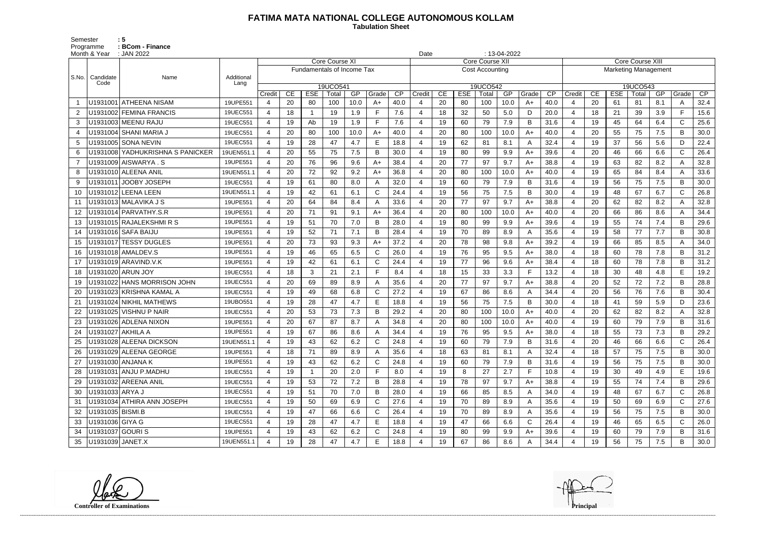## **FATIMA MATA NATIONAL COLLEGE AUTONOMOUS KOLLAM**

 **Tabulation Sheet** 

Semester : 5 Programme : **BCom - Finance** 

|                | Month & Year     | : JAN 2022                       |            |                |    |                            |                       |      |              |      | Date           |    |            |                        | $: 13-04-2022$ |       |      |                          |    |            |                         |                             |              |      |  |  |  |  |  |  |  |  |
|----------------|------------------|----------------------------------|------------|----------------|----|----------------------------|-----------------------|------|--------------|------|----------------|----|------------|------------------------|----------------|-------|------|--------------------------|----|------------|-------------------------|-----------------------------|--------------|------|--|--|--|--|--|--|--|--|
|                |                  | Name                             |            |                |    |                            | <b>Core Course XI</b> |      |              |      |                |    |            | Core Course XI         |                |       |      |                          |    |            | <b>Core Course XIII</b> | <b>Marketing Management</b> |              |      |  |  |  |  |  |  |  |  |
| S.No.          | Candidate        |                                  | Additional |                |    | Fundamentals of Income Tax |                       |      |              |      |                |    |            | <b>Cost Accounting</b> |                |       |      |                          |    |            |                         |                             |              |      |  |  |  |  |  |  |  |  |
|                | Code             |                                  | Lang       |                |    |                            | 19UCO541              |      |              |      |                |    |            | 19UCO542               |                |       |      |                          |    |            | 19UCO543                |                             |              |      |  |  |  |  |  |  |  |  |
|                |                  |                                  |            | Credit         | CE | <b>ESE</b>                 | Total                 | GP   | Grade        | CP   | Credit         | CE | <b>ESE</b> | Total                  | GP             | Grade | CP   | Credit                   | CE | <b>ESE</b> | Total                   | GP                          | Grade        | CP   |  |  |  |  |  |  |  |  |
|                | U1931001         | <b>ATHEENA NISAM</b>             | 19UPE551   |                | 20 | 80                         | 100                   | 10.0 | A+           | 40.0 |                | 20 | 80         | 100                    | 10.0           | $A+$  | 40.0 | $\overline{4}$           | 20 | -61        | 81                      | 8.1                         | A            | 32.4 |  |  |  |  |  |  |  |  |
| 2              |                  | U1931002 FEMINA FRANCIS          | 19UEC551   | $\overline{4}$ | 18 | -1                         | 19                    | 1.9  | E            | 7.6  | $\overline{4}$ | 18 | 32         | 50                     | 5.0            | D     | 20.0 | $\overline{\mathcal{A}}$ | 18 | 21         | 39                      | 3.9                         | F.           | 15.6 |  |  |  |  |  |  |  |  |
| 3              |                  | U1931003 MEENU RAJU              | 19UEC551   | $\overline{4}$ | 19 | Ab                         | 19                    | 1.9  | F.           | 7.6  | 4              | 19 | 60         | 79                     | 7.9            | B     | 31.6 | $\overline{4}$           | 19 | 45         | 64                      | 6.4                         | $\mathbf C$  | 25.6 |  |  |  |  |  |  |  |  |
| -4             |                  | U1931004   SHANI MARIA J         | 19UEC551   |                | 20 | 80                         | 100                   | 10.0 | $A+$         | 40.0 | $\overline{a}$ | 20 | 80         | 100                    | 10.0           | A+    | 40.0 | $\overline{4}$           | 20 | 55         | 75                      | 7.5                         | B            | 30.0 |  |  |  |  |  |  |  |  |
| 5              |                  | U1931005 SONA NEVIN              | 19UEC551   | $\overline{4}$ | 19 | 28                         | 47                    | 4.7  | E            | 18.8 | $\overline{4}$ | 19 | 62         | 81                     | 8.1            | A     | 32.4 | $\overline{\mathcal{A}}$ | 19 | 37         | 56                      | 5.6                         | D            | 22.4 |  |  |  |  |  |  |  |  |
| 6              |                  | U1931008 YADHUKRISHNA S PANICKER | 19UEN551.1 |                | 20 | 55                         | 75                    | 7.5  | B            | 30.0 | 4              | 19 | 80         | 99                     | 9.9            | A+    | 39.6 |                          | 20 | 46         | 66                      | 6.6                         | $\mathsf{C}$ | 26.4 |  |  |  |  |  |  |  |  |
| $\overline{7}$ |                  | U1931009 AISWARYA.S              | 19UPE551   | $\overline{4}$ | 20 | 76                         | 96                    | 9.6  | $A+$         | 38.4 | 4              | 20 | 77         | 97                     | 9.7            | A+    | 38.8 | $\overline{\mathcal{A}}$ | 19 | 63         | 82                      | 8.2                         | A            | 32.8 |  |  |  |  |  |  |  |  |
| 8              |                  | U1931010 ALEENA ANIL             | 19UEN551.1 | $\overline{4}$ | 20 | 72                         | 92                    | 9.2  | A+           | 36.8 | 4              | 20 | 80         | 100                    | 10.0           | $A+$  | 40.0 | $\overline{\mathcal{A}}$ | 19 | 65         | 84                      | 8.4                         | $\mathsf{A}$ | 33.6 |  |  |  |  |  |  |  |  |
| 9              | U1931011         | <b>JOOBY JOSEPH</b>              | 19UEC551   |                | 19 | 61                         | 80                    | 8.0  | A            | 32.0 | $\overline{4}$ | 19 | 60         | 79                     | 7.9            | B     | 31.6 | $\overline{\mathcal{A}}$ | 19 | 56         | 75                      | 7.5                         | B            | 30.0 |  |  |  |  |  |  |  |  |
| 10             |                  | U1931012 LEENA LEEN              | 19UEN551.1 | $\overline{4}$ | 19 | 42                         | 61                    | 6.1  | $\mathsf{C}$ | 24.4 | $\overline{4}$ | 19 | 56         | 75                     | 7.5            | B     | 30.0 | $\overline{4}$           | 19 | 48         | 67                      | 6.7                         | $\mathsf{C}$ | 26.8 |  |  |  |  |  |  |  |  |
| 11             |                  | U1931013 MALAVIKA J S            | 19UPE551   | 4              | 20 | 64                         | 84                    | 8.4  |              | 33.6 | Δ              | 20 | 77         | 97                     | 9.7            | A+    | 38.8 | $\overline{4}$           | 20 | 62         | 82                      | 8.2                         | A            | 32.8 |  |  |  |  |  |  |  |  |
| 12             |                  | U1931014 PARVATHY.S.R            | 19UPE551   | 4              | 20 | 71                         | 91                    | 9.1  | $A+$         | 36.4 | 4              | 20 | 80         | 100                    | 10.0           | A+    | 40.0 | -4                       | 20 | 66         | 86                      | 8.6                         | A            | 34.4 |  |  |  |  |  |  |  |  |
| 13             |                  | U1931015 RAJALEKSHMIRS           | 19UPE551   | $\overline{4}$ | 19 | 51                         | 70                    | 7.0  | B            | 28.0 | $\overline{4}$ | 19 | 80         | 99                     | 9.9            | $A+$  | 39.6 | $\overline{4}$           | 19 | 55         | 74                      | 7.4                         | B            | 29.6 |  |  |  |  |  |  |  |  |
| 14             |                  | U1931016   SAFA BAIJU            | 19UPE551   |                | 19 | 52                         | 71                    | 7.1  | B            | 28.4 | $\overline{4}$ | 19 | 70         | 89                     | 8.9            | A     | 35.6 | $\overline{4}$           | 19 | 58         | 77                      | 7.7                         | B            | 30.8 |  |  |  |  |  |  |  |  |
| 15             |                  | U1931017 TESSY DUGLES            | 19UPE551   | $\overline{4}$ | 20 | 73                         | 93                    | 9.3  | A+           | 37.2 | $\overline{4}$ | 20 | 78         | 98                     | 9.8            | $A+$  | 39.2 | $\overline{\mathcal{A}}$ | 19 | 66         | 85                      | 8.5                         | A            | 34.0 |  |  |  |  |  |  |  |  |
| 16             |                  | U1931018   AMALDEV.S             | 19UPE551   | $\overline{4}$ | 19 | 46                         | 65                    | 6.5  | C            | 26.0 | $\overline{4}$ | 19 | 76         | 95                     | 9.5            | $A+$  | 38.0 | $\overline{4}$           | 18 | 60         | 78                      | 7.8                         | B            | 31.2 |  |  |  |  |  |  |  |  |
| 17             |                  | U1931019 ARAVIND.V.K             | 19UPE551   | 4              | 19 | 42                         | 61                    | 6.1  | C            | 24.4 | 4              | 19 | 77         | 96                     | 9.6            | A+    | 38.4 | -4                       | 18 | 60         | 78                      | 7.8                         | B            | 31.2 |  |  |  |  |  |  |  |  |
| 18             |                  | U1931020 ARUN JOY                | 19UEC551   | $\overline{4}$ | 18 | 3                          | 21                    | 2.1  | F.           | 8.4  | 4              | 18 | 15         | 33                     | 3.3            | F     | 13.2 | $\overline{\mathcal{A}}$ | 18 | 30         | 48                      | 4.8                         | E            | 19.2 |  |  |  |  |  |  |  |  |
| 19             |                  | U1931022 HANS MORRISON JOHN      | 19UEC551   |                | 20 | 69                         | 89                    | 8.9  | A            | 35.6 |                | 20 | 77         | 97                     | 9.7            | A+    | 38.8 | $\overline{4}$           | 20 | 52         | 72                      | 7.2                         | B            | 28.8 |  |  |  |  |  |  |  |  |
| 20             |                  | U1931023 KRISHNA KAMAL A         | 19UEC551   | $\overline{4}$ | 19 | 49                         | 68                    | 6.8  | C            | 27.2 | $\overline{4}$ | 19 | 67         | 86                     | 8.6            | A     | 34.4 | $\overline{4}$           | 20 | 56         | 76                      | 7.6                         | B            | 30.4 |  |  |  |  |  |  |  |  |
| 21             |                  | U1931024 NIKHIL MATHEWS          | 19UBO551   | $\overline{4}$ | 19 | 28                         | 47                    | 4.7  | E            | 18.8 | 4              | 19 | 56         | 75                     | 7.5            | B     | 30.0 | $\overline{\mathcal{A}}$ | 18 | 41         | 59                      | 5.9                         | D            | 23.6 |  |  |  |  |  |  |  |  |
| 22             |                  | U1931025   VISHNU P NAIR         | 19UEC551   | $\overline{4}$ | 20 | 53                         | 73                    | 7.3  | B            | 29.2 |                | 20 | 80         | 100                    | 10.0           | A+    | 40.0 | -4                       | 20 | 62         | 82                      | 8.2                         | A            | 32.8 |  |  |  |  |  |  |  |  |
| 23             |                  | U1931026 ADLENA NIXON            | 19UPE551   | 4              | 20 | 67                         | 87                    | 8.7  | A            | 34.8 | 4              | 20 | 80         | 100                    | 10.0           | $A+$  | 40.0 | -4                       | 19 | 60         | 79                      | 7.9                         | B            | 31.6 |  |  |  |  |  |  |  |  |
| 24             |                  | U1931027 AKHILA A                | 19UPE551   |                | 19 | 67                         | 86                    | 8.6  |              | 34.4 | 4              | 19 | 76         | 95                     | 9.5            | A+    | 38.0 | $\overline{\mathcal{A}}$ | 18 | 55         | 73                      | 7.3                         | B            | 29.2 |  |  |  |  |  |  |  |  |
| 25             |                  | U1931028 ALEENA DICKSON          | 19UEN551.1 | 4              | 19 | 43                         | 62                    | 6.2  | C            | 24.8 | 4              | 19 | 60         | 79                     | 7.9            | В     | 31.6 | 4                        | 20 | 46         | 66                      | 6.6                         | C            | 26.4 |  |  |  |  |  |  |  |  |
| 26             |                  | U1931029 ALEENA GEORGE           | 19UPE551   | 4              | 18 | 71                         | 89                    | 8.9  | A            | 35.6 | 4              | 18 | 63         | 81                     | 8.1            | A     | 32.4 | -4                       | 18 | 57         | 75                      | 7.5                         | B            | 30.0 |  |  |  |  |  |  |  |  |
| 27             |                  | U1931030 ANJANA K                | 19UPE551   | $\overline{4}$ | 19 | 43                         | 62                    | 6.2  | C            | 24.8 | 4              | 19 | 60         | 79                     | 7.9            | B     | 31.6 | -4                       | 19 | 56         | 75                      | 7.5                         | B            | 30.0 |  |  |  |  |  |  |  |  |
| 28             |                  | U1931031 ANJU P.MADHU            | 19UEC551   | 4              | 19 | $\mathbf{1}$               | 20                    | 2.0  | F.           | 8.0  | 4              | 19 | 8          | 27                     | 2.7            | F.    | 10.8 | $\overline{4}$           | 19 | 30         | 49                      | 4.9                         | E            | 19.6 |  |  |  |  |  |  |  |  |
| 29             |                  | U1931032 AREENA ANIL             | 19UEC551   | $\overline{4}$ | 19 | 53                         | 72                    | 7.2  | B            | 28.8 | 4              | 19 | 78         | 97                     | 9.7            | $A+$  | 38.8 | $\overline{4}$           | 19 | 55         | 74                      | 7.4                         | B            | 29.6 |  |  |  |  |  |  |  |  |
| 30             | U1931033 ARYA J  |                                  | 19UEC551   | $\overline{4}$ | 19 | 51                         | 70                    | 7.0  | B            | 28.0 | 4              | 19 | 66         | 85                     | 8.5            | A     | 34.0 | $\overline{4}$           | 19 | 48         | 67                      | 6.7                         | $\mathsf{C}$ | 26.8 |  |  |  |  |  |  |  |  |
| 31             |                  | U1931034 ATHIRA ANN JOSEPH       | 19UEC551   | 4              | 19 | 50                         | 69                    | 6.9  | C            | 27.6 | 4              | 19 | 70         | 89                     | 8.9            | A     | 35.6 | -4                       | 19 | 50         | 69                      | 6.9                         | C.           | 27.6 |  |  |  |  |  |  |  |  |
| 32             | U1931035 BISMI.B |                                  | 19UEC551   | 4              | 19 | 47                         | 66                    | 6.6  | C            | 26.4 | $\overline{4}$ | 19 | 70         | 89                     | 8.9            | A     | 35.6 | 4                        | 19 | 56         | 75                      | 7.5                         | B            | 30.0 |  |  |  |  |  |  |  |  |
| 33             | U1931036 GIYA G  |                                  | 19UEC551   | 4              | 19 | 28                         | 47                    | 4.7  | E.           | 18.8 | 4              | 19 | 47         | 66                     | 6.6            | C     | 26.4 | $\overline{4}$           | 19 | 46         | 65                      | 6.5                         | C            | 26.0 |  |  |  |  |  |  |  |  |
| 34             | U1931037 GOURI S |                                  | 19UPE551   |                | 19 | 43                         | 62                    | 6.2  | C            | 24.8 | 4              | 19 | 80         | 99                     | 9.9            | A+    | 39.6 | $\overline{a}$           | 19 | 60         | 79                      | 7.9                         | B            | 31.6 |  |  |  |  |  |  |  |  |
| 35             | U1931039 JANET.X |                                  | 19UEN551.1 |                | 19 | 28                         | 47                    | 4.7  | E            | 18.8 | 4              | 19 | 67         | 86                     | 8.6            | A     | 34.4 | $\overline{4}$           | 19 | 56         | 75                      | 7.5                         | B            | 30.0 |  |  |  |  |  |  |  |  |

**Controller of Examinations** 

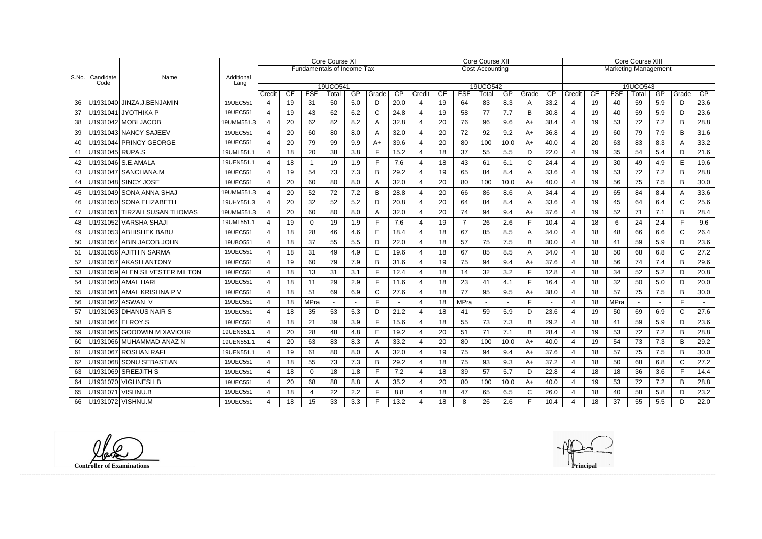|               |                   |                                 |                    |                |    |                                   | Core Course XI    |     |       |      |        |    |                | Core Course XII        |      |              | Core Course XIII            |                        |                                                            |          |    |     |              |      |  |
|---------------|-------------------|---------------------------------|--------------------|----------------|----|-----------------------------------|-------------------|-----|-------|------|--------|----|----------------|------------------------|------|--------------|-----------------------------|------------------------|------------------------------------------------------------|----------|----|-----|--------------|------|--|
|               |                   |                                 |                    |                |    | <b>Fundamentals of Income Tax</b> |                   |     |       |      |        |    |                | <b>Cost Accounting</b> |      |              | <b>Marketing Management</b> |                        |                                                            |          |    |     |              |      |  |
| $ $ S.No. $ $ | Candidate<br>Code | Name                            | Additional<br>Lang |                |    |                                   |                   |     |       |      |        |    |                |                        |      |              |                             |                        |                                                            |          |    |     |              |      |  |
|               |                   |                                 |                    | Credit         | CE | <b>ESE</b>                        | 19UCO541<br>Total | GP  | Grade | CP   | Credit | CE | <b>ESE</b>     | 19UCO542<br>Total      | GP   | Grade        | $\overline{CP}$             | Credit                 | 19UCO543<br>CP<br>CE<br><b>ESE</b><br>Total<br>GP<br>Grade |          |    |     |              |      |  |
| 36            |                   | U1931040 JINZA.J.BENJAMIN       | 19UEC551           | 4              | 19 | 31                                | 50                | 5.0 | D     | 20.0 |        | 19 | 64             | 83                     | 8.3  | A            | 33.2                        | $\overline{4}$         | 19                                                         | 40       | 59 | 5.9 | D            | 23.6 |  |
| 37            |                   | U1931041 JYOTHIKA P             | 19UEC551           | 4              | 19 | 43                                | 62                | 6.2 | C     | 24.8 |        | 19 | 58             | 77                     | 7.7  | B            | 30.8                        | $\overline{4}$         | 19                                                         | 40       | 59 | 5.9 | D            | 23.6 |  |
| 38            |                   | U1931042 MOBI JACOB             | 19UMM551.3         | $\overline{a}$ | 20 | 62                                | 82                | 8.2 |       | 32.8 |        | 20 | 76             | 96                     | 9.6  | $A+$         | 38.4                        | 4                      | 19                                                         | 53       | 72 | 7.2 | B            | 28.8 |  |
| 39            |                   | U1931043 NANCY SAJEEV           | 19UEC551           | 4              | 20 | 60                                | 80                | 8.0 |       | 32.0 |        | 20 | 72             | 92                     | 9.2  | $A+$         | 36.8                        | $\overline{4}$         | 19                                                         | 60       | 79 | 7.9 | B            | 31.6 |  |
| 40            |                   | U1931044 PRINCY GEORGE          | 19UEC551           | 4              | 20 | 79                                | 99                | 9.9 | $A+$  | 39.6 |        | 20 | 80             | 100                    | 10.0 | $A+$         | 40.0                        | 4                      | 20                                                         | 63       | 83 | 8.3 | A            | 33.2 |  |
| 41            | U1931045 RUPA.S   |                                 | 19UML551.1         | 4              | 18 | 20                                | 38                | 3.8 |       | 15.2 |        | 18 | 37             | 55                     | 5.5  | D            | 22.0                        | $\overline{4}$         | 19                                                         | 35       | 54 | 5.4 | D            | 21.6 |  |
| 42            |                   | U1931046 S.E.AMALA              | 19UEN551.1         | $\overline{4}$ | 18 | $\mathbf{1}$                      | 19                | 1.9 | F     | 7.6  |        | 18 | 43             | 61                     | 6.1  | $\mathsf{C}$ | 24.4                        | $\overline{4}$         | 19                                                         | 30       | 49 | 4.9 | E            | 19.6 |  |
| 43            |                   | U1931047 SANCHANA.M             | 19UEC551           | $\overline{4}$ | 19 | 54                                | 73                | 7.3 | B     | 29.2 |        | 19 | 65             | 84                     | 8.4  | A            | 33.6                        | 4                      | 19                                                         | 53       | 72 | 7.2 | B            | 28.8 |  |
| 44            |                   | U1931048 SINCY JOSE             | 19UEC551           | 4              | 20 | 60                                | 80                | 8.0 |       | 32.0 |        | 20 | 80             | 100                    | 10.0 | $A+$         | 40.0                        | $\overline{4}$         | 19                                                         | 56       | 75 | 7.5 | B            | 30.0 |  |
| 45            |                   | U1931049 SONA ANNA SHAJ         | 19UMM551.3         | 4              | 20 | 52                                | 72                | 7.2 | B     | 28.8 |        | 20 | 66             | 86                     | 8.6  | A            | 34.4                        | $\overline{4}$         | 19                                                         | 65       | 84 | 8.4 | A            | 33.6 |  |
| 46            |                   | U1931050 SONA ELIZABETH         | 19UHY551.3         | $\overline{4}$ | 20 | 32                                | 52                | 5.2 | D     | 20.8 |        | 20 | 64             | 84                     | 8.4  | A            | 33.6                        | $\overline{4}$         | 19                                                         | 45       | 64 | 6.4 | $\mathsf{C}$ | 25.6 |  |
| 47            |                   | U1931051 TIRZAH SUSAN THOMAS    | 19UMM551.3         | 4              | 20 | 60                                | 80                | 8.0 |       | 32.0 | 4      | 20 | 74             | 94                     | 9.4  | $A+$         | 37.6                        | $\overline{4}$         | 19                                                         | 52       | 71 | 7.1 | B            | 28.4 |  |
| 48            |                   | U1931052 VARSHA SHAJI           | 19UML551.1         | $\overline{4}$ | 19 | $\Omega$                          | 19                | 1.9 |       | 7.6  |        | 19 | $\overline{7}$ | 26                     | 2.6  | E            | 10.4                        | $\overline{4}$         | 18                                                         | 6        | 24 | 2.4 | F.           | 9.6  |  |
| 49            |                   | U1931053 ABHISHEK BABU          | 19UEC551           | 4              | 18 | 28                                | 46                | 4.6 | E     | 18.4 |        | 18 | 67             | 85                     | 8.5  | A            | 34.0                        | $\overline{4}$         | 18                                                         | 48       | 66 | 6.6 | $\mathsf{C}$ | 26.4 |  |
| 50            |                   | U1931054 ABIN JACOB JOHN        | 19UBO551           | 4              | 18 | 37                                | 55                | 5.5 | D     | 22.0 |        | 18 | 57             | 75                     | 7.5  | B            | 30.0                        | 4                      | 18                                                         | 41       | 59 | 5.9 | D            | 23.6 |  |
| 51            |                   | U1931056 AJITH N SARMA          | 19UEC551           | 4              | 18 | 31                                | 49                | 4.9 | Е     | 19.6 |        | 18 | 67             | 85                     | 8.5  | A            | 34.0                        | $\overline{4}$         | 18                                                         | 50       | 68 | 6.8 | $\mathsf{C}$ | 27.2 |  |
| 52            |                   | U1931057 AKASH ANTONY           | 19UEC551           | 4              | 19 | 60                                | 79                | 7.9 | B     | 31.6 | 4      | 19 | 75             | 94                     | 9.4  | $A+$         | 37.6                        | $\overline{4}$         | 18                                                         | 56       | 74 | 7.4 | B            | 29.6 |  |
| 53            |                   | U1931059 ALEN SILVESTER MILTON  | 19UEC551           | 4              | 18 | 13                                | 31                | 3.1 |       | 12.4 |        | 18 | 14             | 32                     | 3.2  | E            | 12.8                        | $\overline{4}$         | 18                                                         | 34       | 52 | 5.2 | D            | 20.8 |  |
| 54            |                   | U1931060 AMAL HARI              | 19UEC551           | 4              | 18 | 11                                | 29                | 2.9 |       | 11.6 |        | 18 | 23             | 41                     | 4.1  | $\mathsf{F}$ | 16.4                        | $\overline{4}$         | 18                                                         | 32       | 50 | 5.0 | D            | 20.0 |  |
| 55            |                   | U1931061 AMAL KRISHNA P V       | 19UEC551           | 4              | 18 | 51                                | 69                | 6.9 | С     | 27.6 |        | 18 | 77             | 95                     | 9.5  | $A+$         | 38.0                        | $\overline{4}$         | 18                                                         | 57       | 75 | 7.5 | B            | 30.0 |  |
| 56            |                   | U1931062 ASWAN V                | 19UEC551           | 4              | 18 | MPra                              |                   |     | Е     |      |        | 18 | MPra           |                        |      | F            |                             | $\overline{4}$         | 18                                                         | MPra     |    |     | F            |      |  |
| 57            |                   | U1931063 DHANUS NAIR S          | 19UEC551           | 4              | 18 | 35                                | 53                | 5.3 | D     | 21.2 |        | 18 | 41             | 59                     | 5.9  | D            | 23.6                        | $\overline{4}$         | 19                                                         | 50       | 69 | 6.9 | $\mathsf{C}$ | 27.6 |  |
| 58            | U1931064 ELROY.S  |                                 | 19UEC551           | 4              | 18 | 21                                | 39                | 3.9 |       | 15.6 |        | 18 | 55             | 73                     | 7.3  | B            | 29.2                        | 4                      | 18                                                         | 41       | 59 | 5.9 | D            | 23.6 |  |
| 59            |                   | U1931065 GOODWIN M XAVIOUR      | 19UEN551.1         | 4              | 20 | 28                                | 48                | 4.8 | E     | 19.2 |        | 20 | 51             | 71                     | 7.1  | B            | 28.4                        | $\overline{4}$         | 19                                                         | 53       | 72 | 7.2 | B            | 28.8 |  |
|               |                   | 60   U1931066   MUHAMMAD ANAZ N | 19UEN551.1         | $\overline{4}$ | 20 | 63                                | 83.               | 8.3 |       | 33.2 |        | 20 | 80             | 100                    | 10.0 | $A+$         | 40.0                        | $\boldsymbol{\Lambda}$ | 19                                                         | 54<br>◡᠇ | 73 | 7.3 | B            | 29.2 |  |
| 61            |                   | U1931067 ROSHAN RAFI            | 19UEN551.1         | $\overline{4}$ | 19 | 61                                | 80                | 8.0 | A     | 32.0 | 4      | 19 | 75             | 94                     | 9.4  | $A+$         | 37.6                        | 4                      | 18                                                         | 57       | 75 | 7.5 | B            | 30.0 |  |
|               |                   | 62   U1931068 SONU SEBASTIAN    | 19UEC551           | 4              | 18 | 55                                | 73                | 7.3 | B     | 29.2 |        | 18 | 75             | 93                     | 9.3  | $A+$         | 37.2                        | $\overline{4}$         | 18                                                         | 50       | 68 | 6.8 | $\mathsf{C}$ | 27.2 |  |
|               |                   | 63   U1931069   SREEJITH S      | 19UEC551           | 4              | 18 | $\overline{0}$                    | 18                | 1.8 |       | 7.2  |        | 18 | 39             | 57                     | 5.7  | D            | 22.8                        | 4                      | 18                                                         | 18       | 36 | 3.6 |              | 14.4 |  |
|               |                   | 64   U1931070   VIGHNESH B      | 19UEC551           | 4              | 20 | 68                                | 88                | 8.8 | A     | 35.2 |        | 20 | 80             | 100                    | 10.0 | $A+$         | 40.0                        | $\overline{4}$         | 19                                                         | 53       | 72 | 7.2 | B            | 28.8 |  |
| 65            | U1931071 VISHNU.B |                                 | 19UEC551           | 4              | 18 | 4                                 | 22                | 2.2 | F.    | 8.8  | 4      | 18 | 47             | 65                     | 6.5  | C            | 26.0                        | 4                      | 18                                                         | 40       | 58 | 5.8 | D            | 23.2 |  |
|               |                   | 66   U1931072   VISHNU.M        | 19UEC551           | 4              | 18 | 15                                | 33                | 3.3 |       | 13.2 |        | 18 | 8              | 26                     | 2.6  | F.           | 10.4                        | 4                      | 18                                                         | 37       | 55 | 5.5 | D            | 22.0 |  |

**Controller of Examinations** 

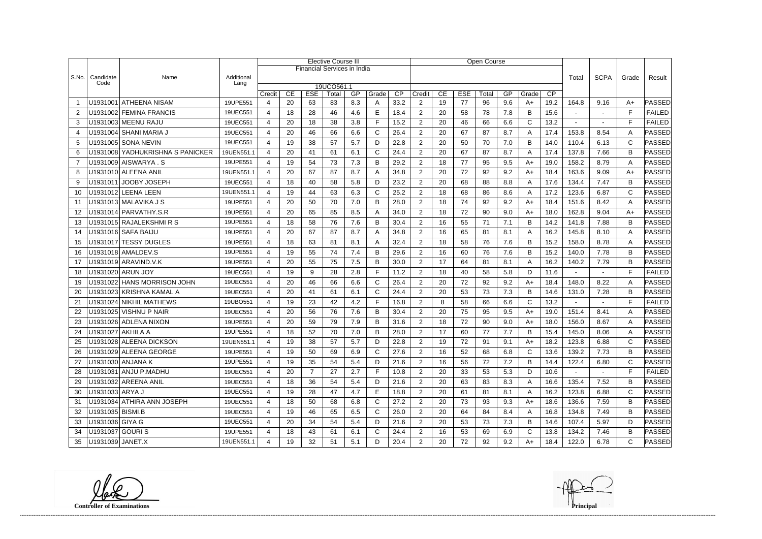|                |                   |                                  |                    | <b>Elective Course III</b> |    |                                    |            |     |              |                 |                |    |            | Open Course |     |              |             |                |                |              |               |
|----------------|-------------------|----------------------------------|--------------------|----------------------------|----|------------------------------------|------------|-----|--------------|-----------------|----------------|----|------------|-------------|-----|--------------|-------------|----------------|----------------|--------------|---------------|
|                |                   |                                  |                    |                            |    | <b>Financial Services in India</b> |            |     |              |                 |                |    |            |             |     |              |             |                |                |              |               |
| S.No.          | Candidate<br>Code | Name                             | Additional<br>Lang |                            |    |                                    |            |     |              |                 |                |    |            |             |     | Total        | <b>SCPA</b> | Grade          | Result         |              |               |
|                |                   |                                  |                    |                            |    |                                    | 19UCO561.1 |     |              |                 |                |    |            |             |     |              |             |                |                |              |               |
|                |                   | U1931001 ATHEENA NISAM           |                    | Credit                     | CE | <b>ESE</b>                         | Total      | GP  | Grade        | $\overline{CP}$ | Credit         | CE | <b>ESE</b> | Total       | GP  | Grade        | CP          |                |                |              | PASSED        |
|                |                   |                                  | 19UPE551           | 4                          | 20 | 63                                 | 83         | 8.3 | A            | 33.2            | 2              | 19 | 77         | 96          | 9.6 | A+           | 19.2        | 164.8          | 9.16           | $A+$         |               |
| 2              |                   | U1931002 FEMINA FRANCIS          | 19UEC551           | 4                          | 18 | 28                                 | 46         | 4.6 | Е            | 18.4            | $\overline{2}$ | 20 | 58         | 78          | 7.8 | B            | 15.6        | $\blacksquare$ | $\blacksquare$ | E            | <b>FAILED</b> |
| 3              |                   | U1931003 MEENU RAJU              | 19UEC551           | 4                          | 20 | 18                                 | 38         | 3.8 | F            | 15.2            | $\overline{2}$ | 20 | 46         | 66          | 6.6 | $\mathsf{C}$ | 13.2        |                |                | F            | <b>FAILED</b> |
| $\overline{4}$ |                   | U1931004 SHANI MARIA J           | 19UEC551           | 4                          | 20 | 46                                 | 66         | 6.6 | $\mathsf{C}$ | 26.4            | $\overline{2}$ | 20 | 67         | 87          | 8.7 | A            | 17.4        | 153.8          | 8.54           | A            | PASSED        |
| 5              |                   | U1931005 SONA NEVIN              | 19UEC551           | 4                          | 19 | 38                                 | 57         | 5.7 | D            | 22.8            | $\overline{c}$ | 20 | 50         | 70          | 7.0 | B            | 14.0        | 110.4          | 6.13           | C            | PASSED        |
| 6              |                   | U1931008 YADHUKRISHNA S PANICKER | 19UEN551.1         | $\boldsymbol{\varDelta}$   | 20 | 41                                 | 61         | 6.1 | $\mathsf{C}$ | 24.4            | $\overline{2}$ | 20 | 67         | 87          | 8.7 | A            | 17.4        | 137.8          | 7.66           | B            | PASSED        |
| $\overline{7}$ |                   | U1931009 AISWARYA.S              | 19UPE551           | $\overline{4}$             | 19 | 54                                 | 73         | 7.3 | B            | 29.2            | $\overline{2}$ | 18 | 77         | 95          | 9.5 | $A+$         | 19.0        | 158.2          | 8.79           | A            | PASSED        |
| 8              |                   | U1931010 ALEENA ANIL             | 19UEN551.1         |                            | 20 | 67                                 | 87         | 8.7 | Α            | 34.8            | $\overline{2}$ | 20 | 72         | 92          | 9.2 | $A+$         | 18.4        | 163.6          | 9.09           | $A+$         | PASSED        |
| 9              |                   | U1931011 JOOBY JOSEPH            | 19UEC551           | 4                          | 18 | 40                                 | 58         | 5.8 | D            | 23.2            | $\overline{2}$ | 20 | 68         | 88          | 8.8 | A            | 17.6        | 134.4          | 7.47           | B            | PASSED        |
| 10             |                   | U1931012 LEENA LEEN              | 19UEN551.1         | 4                          | 19 | 44                                 | 63         | 6.3 | C            | 25.2            | $\overline{2}$ | 18 | 68         | 86          | 8.6 | A            | 17.2        | 123.6          | 6.87           | C            | PASSED        |
| 11             |                   | U1931013 MALAVIKA J S            | 19UPE551           | 4                          | 20 | 50                                 | 70         | 7.0 | B            | 28.0            | $\overline{2}$ | 18 | 74         | 92          | 9.2 | $A+$         | 18.4        | 151.6          | 8.42           | A            | PASSED        |
| 12             |                   | U1931014 PARVATHY.S.R            | 19UPE551           | 4                          | 20 | 65                                 | 85         | 8.5 | Α            | 34.0            | $\overline{2}$ | 18 | 72         | 90          | 9.0 | $A+$         | 18.0        | 162.8          | 9.04           | $A+$         | PASSED        |
| 13             |                   | U1931015 RAJALEKSHMIRS           | 19UPE551           | $\boldsymbol{\Delta}$      | 18 | 58                                 | 76         | 7.6 | В            | 30.4            | $\overline{2}$ | 16 | 55         | 71          | 7.1 | B            | 14.2        | 141.8          | 7.88           | B            | PASSED        |
| 14             |                   | U1931016 SAFA BAIJU              | 19UPE551           | 4                          | 20 | 67                                 | 87         | 8.7 | A            | 34.8            | $\overline{2}$ | 16 | 65         | 81          | 8.1 | A            | 16.2        | 145.8          | 8.10           | A            | PASSED        |
| 15             |                   | U1931017 TESSY DUGLES            | 19UPE551           | 4                          | 18 | 63                                 | 81         | 8.1 | Α            | 32.4            | $\overline{2}$ | 18 | 58         | 76          | 7.6 | B            | 15.2        | 158.0          | 8.78           | A            | PASSED        |
| 16             |                   | U1931018 AMALDEV.S               | 19UPE551           | 4                          | 19 | 55                                 | 74         | 7.4 | B            | 29.6            | $\overline{2}$ | 16 | 60         | 76          | 7.6 | B            | 15.2        | 140.0          | 7.78           | B            | PASSED        |
| 17             |                   | U1931019 ARAVIND.V.K             | 19UPE551           | 4                          | 20 | 55                                 | 75         | 7.5 | B            | 30.0            | $\overline{2}$ | 17 | 64         | 81          | 8.1 | A            | 16.2        | 140.2          | 7.79           | В            | PASSED        |
| 18             |                   | U1931020 ARUN JOY                | 19UEC551           | 4                          | 19 | 9                                  | 28         | 2.8 | F            | 11.2            | $\overline{2}$ | 18 | 40         | 58          | 5.8 | D            | 11.6        |                |                | F            | <b>FAILED</b> |
| 19             |                   | U1931022 HANS MORRISON JOHN      | 19UEC551           | 4                          | 20 | 46                                 | 66         | 6.6 | $\mathsf{C}$ | 26.4            | $\overline{2}$ | 20 | 72         | 92          | 9.2 | $A+$         | 18.4        | 148.0          | 8.22           | A            | PASSED        |
| 20             |                   | U1931023 KRISHNA KAMAL A         | 19UEC551           |                            | 20 | 41                                 | 61         | 6.1 | C            | 24.4            | $\overline{2}$ | 20 | 53         | 73          | 7.3 | B            | 14.6        | 131.0          | 7.28           | B            | PASSED        |
| 21             |                   | U1931024 NIKHIL MATHEWS          | 19UBO551           | $\boldsymbol{\varDelta}$   | 19 | 23                                 | 42         | 4.2 | F            | 16.8            | $\overline{2}$ | 8  | 58         | 66          | 6.6 | $\mathsf{C}$ | 13.2        |                |                | F            | <b>FAILED</b> |
| 22             |                   | U1931025 VISHNU P NAIR           | 19UEC551           | 4                          | 20 | 56                                 | 76         | 7.6 | B            | 30.4            | $\overline{2}$ | 20 | 75         | 95          | 9.5 | $A+$         | 19.0        | 151.4          | 8.41           | A            | PASSED        |
| 23             |                   | U1931026 ADLENA NIXON            | 19UPE551           | $\boldsymbol{\Delta}$      | 20 | 59                                 | 79         | 7.9 | B            | 31.6            | $\overline{2}$ | 18 | 72         | 90          | 9.0 | $A+$         | 18.0        | 156.0          | 8.67           | A            | PASSED        |
| 24             | U1931027 AKHILA A |                                  | 19UPE551           | $\boldsymbol{\varDelta}$   | 18 | 52                                 | 70         | 7.0 | B            | 28.0            | $\overline{2}$ | 17 | 60         | 77          | 7.7 | B            | 15.4        | 145.0          | 8.06           | A            | PASSED        |
| 25             |                   | U1931028 ALEENA DICKSON          | 19UEN551.1         | Δ                          | 19 | 38                                 | 57         | 5.7 | D            | 22.8            | $\mathcal{P}$  | 19 | 72         | 91          | 9.1 | A+           | 18.2        | 123.8          | 6.88           | $\cap$       | <b>PASSED</b> |
| 26             |                   | U1931029 ALEENA GEORGE           | 19UPE551           | $\overline{4}$             | 19 | 50                                 | 69         | 6.9 | $\mathsf{C}$ | 27.6            | $\overline{2}$ | 16 | 52         | 68          | 6.8 | $\mathsf{C}$ | 13.6        | 139.2          | 7.73           | В            | <b>PASSED</b> |
| 27             |                   | U1931030 ANJANA K                | 19UPE551           | 4                          | 19 | 35                                 | 54         | 5.4 | D            | 21.6            | $\overline{2}$ | 16 | 56         | 72          | 7.2 | B            | 14.4        | 122.4          | 6.80           | $\mathsf{C}$ | PASSED        |
| 28             |                   | U1931031 ANJU P.MADHU            | 19UEC551           |                            | 20 | $\overline{7}$                     | 27         | 2.7 | F            | 10.8            | $\overline{2}$ | 20 | 33         | 53          | 5.3 | D            | 10.6        |                |                | F            | <b>FAILED</b> |
| 29             |                   | U1931032 AREENA ANIL             | 19UEC551           | $\overline{4}$             | 18 | 36                                 | 54         | 5.4 | D            | 21.6            | $\overline{2}$ | 20 | 63         | 83          | 8.3 | A            | 16.6        | 135.4          | 7.52           | В            | PASSED        |
| 30             | U1931033 ARYA J   |                                  | 19UEC551           |                            | 19 | 28                                 | 47         | 4.7 | E            | 18.8            | $\overline{2}$ | 20 | 61         | 81          | 8.1 | A            | 16.2        | 123.8          | 6.88           | C            | PASSED        |
| 31             |                   | U1931034 ATHIRA ANN JOSEPH       | 19UEC551           | $\overline{4}$             | 18 | 50                                 | 68         | 6.8 | C            | 27.2            | $\overline{2}$ | 20 | 73         | 93          | 9.3 | $A+$         | 18.6        | 136.6          | 7.59           | B            | PASSED        |
| 32             | U1931035 BISMI.B  |                                  | 19UEC551           | 4                          | 19 | 46                                 | 65         | 6.5 | C            | 26.0            | $\overline{2}$ | 20 | 64         | 84          | 8.4 | A            | 16.8        | 134.8          | 7.49           | В            | PASSED        |
| 33             | U1931036 GIYA G   |                                  | 19UEC551           |                            | 20 | 34                                 | 54         | 5.4 | D            | 21.6            | $\overline{2}$ | 20 | 53         | 73          | 7.3 | B            | 14.6        | 107.4          | 5.97           | D            | PASSED        |
| 34             | U1931037 GOURIS   |                                  | 19UPE551           | $\overline{4}$             | 18 | 43                                 | 61         | 6.1 | $\mathsf{C}$ | 24.4            | $\overline{2}$ | 16 | 53         | 69          | 6.9 | $\mathsf{C}$ | 13.8        | 134.2          | 7.46           | B            | PASSED        |
| 35             | U1931039 JANET.X  |                                  | 19UEN551.1         |                            | 19 | 32                                 | 51         | 5.1 | D            | 20.4            | $\overline{2}$ | 20 | 72         | 92          | 9.2 | A+           | 18.4        | 122.0          | 6.78           | C            | <b>PASSED</b> |

**Controller of Examinations Principal**